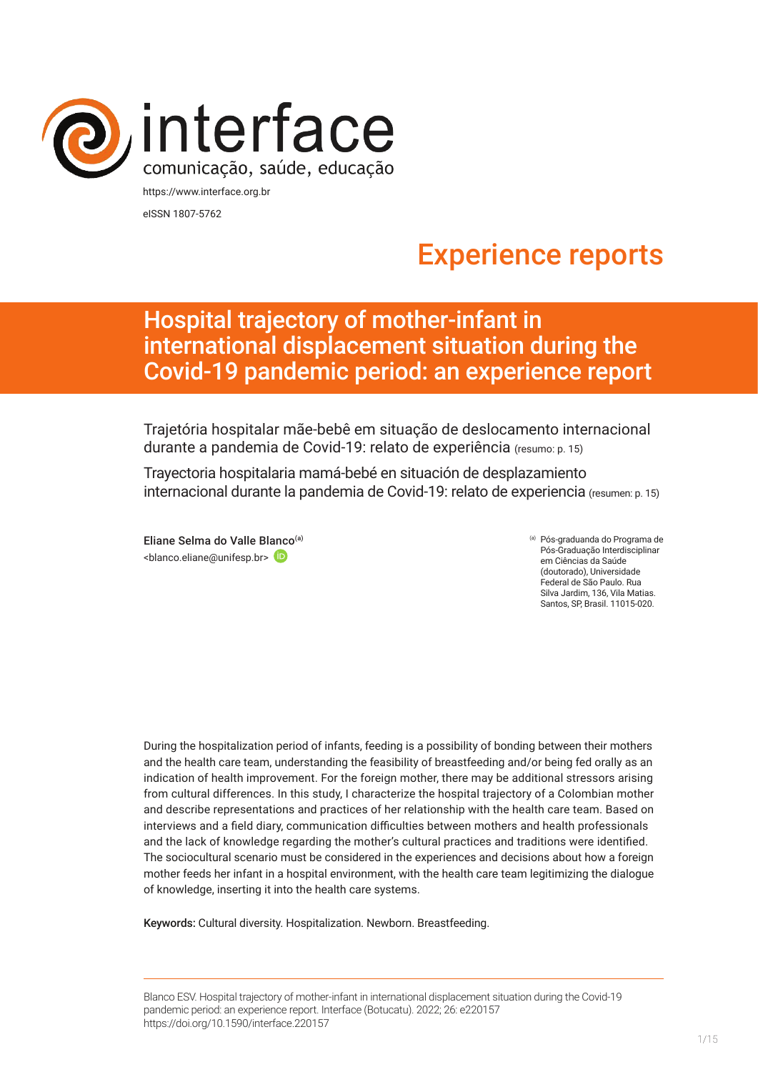

eISSN 1807-5762

# Experience reports

## Hospital trajectory of mother-infant in international displacement situation during the Covid-19 pandemic period: an experience report

Trajetória hospitalar mãe-bebê em situação de deslocamento internacional durante a pandemia de Covid-19: relato de experiência (resumo: p. 15)

Trayectoria hospitalaria mamá-bebé en situación de desplazamiento internacional durante la pandemia de Covid-19: relato de experiencia (resumen: p. 15)

Eliane Selma do Valle Bl[anco](https://orcid.org/0000-0003-0392-8675)(a) <blanco.eliane@unifesp.br>

(a) Pós-graduanda do Programa de Pós-Graduação Interdisciplinar em Ciências da Saúde (doutorado), Universidade Federal de São Paulo. Rua Silva Jardim, 136, Vila Matias. Santos, SP, Brasil. 11015-020.

During the hospitalization period of infants, feeding is a possibility of bonding between their mothers and the health care team, understanding the feasibility of breastfeeding and/or being fed orally as an indication of health improvement. For the foreign mother, there may be additional stressors arising from cultural differences. In this study, I characterize the hospital trajectory of a Colombian mother and describe representations and practices of her relationship with the health care team. Based on interviews and a field diary, communication difficulties between mothers and health professionals and the lack of knowledge regarding the mother's cultural practices and traditions were identified. The sociocultural scenario must be considered in the experiences and decisions about how a foreign mother feeds her infant in a hospital environment, with the health care team legitimizing the dialogue of knowledge, inserting it into the health care systems.

Keywords: Cultural diversity. Hospitalization. Newborn. Breastfeeding.

Blanco ESV. Hospital trajectory of mother-infant in international displacement situation during the Covid-19 pandemic period: an experience report. Interface (Botucatu). 2022; 26: e220157 [https://](https://10.11606/S1518-787.201805200XXXX)doi.org/10.1590/interface.220157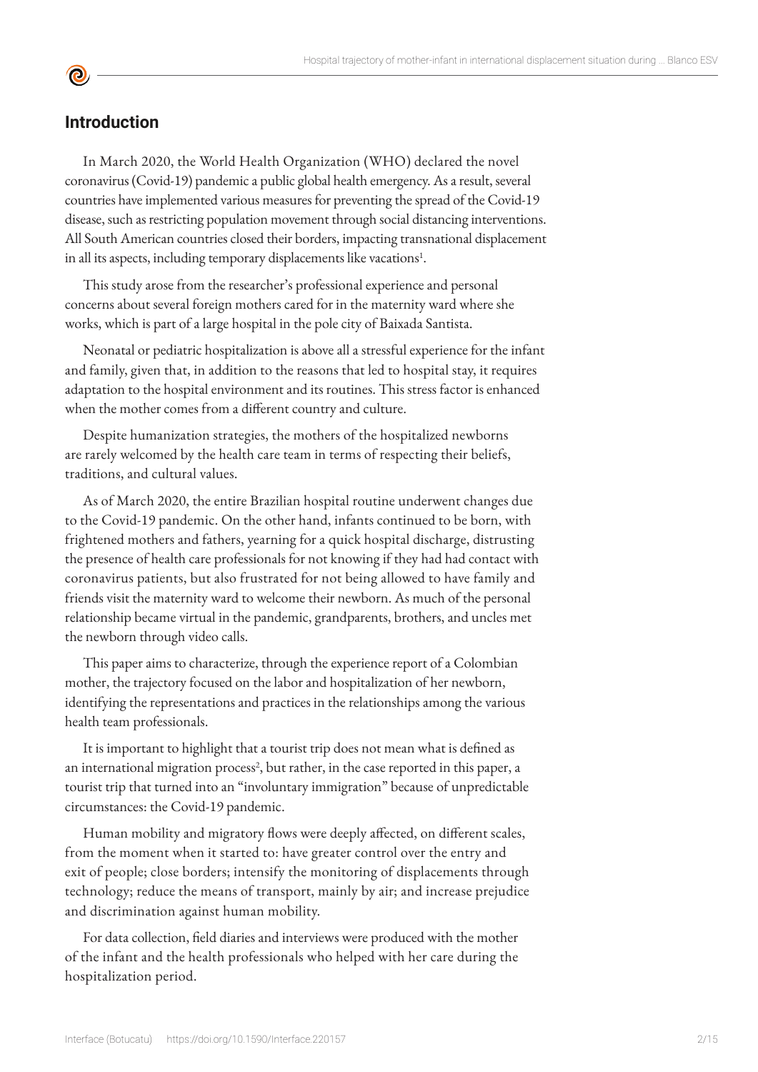## **Introduction**

**©** 

In March 2020, the World Health Organization (WHO) declared the novel coronavirus (Covid-19) pandemic a public global health emergency. As a result, several countries have implemented various measures for preventing the spread of the Covid-19 disease, such as restricting population movement through social distancing interventions. All South American countries closed their borders, impacting transnational displacement in all its aspects, including temporary displacements like vacations<sup>1</sup>.

This study arose from the researcher's professional experience and personal concerns about several foreign mothers cared for in the maternity ward where she works, which is part of a large hospital in the pole city of Baixada Santista.

Neonatal or pediatric hospitalization is above all a stressful experience for the infant and family, given that, in addition to the reasons that led to hospital stay, it requires adaptation to the hospital environment and its routines. This stress factor is enhanced when the mother comes from a different country and culture.

Despite humanization strategies, the mothers of the hospitalized newborns are rarely welcomed by the health care team in terms of respecting their beliefs, traditions, and cultural values.

As of March 2020, the entire Brazilian hospital routine underwent changes due to the Covid-19 pandemic. On the other hand, infants continued to be born, with frightened mothers and fathers, yearning for a quick hospital discharge, distrusting the presence of health care professionals for not knowing if they had had contact with coronavirus patients, but also frustrated for not being allowed to have family and friends visit the maternity ward to welcome their newborn. As much of the personal relationship became virtual in the pandemic, grandparents, brothers, and uncles met the newborn through video calls.

This paper aims to characterize, through the experience report of a Colombian mother, the trajectory focused on the labor and hospitalization of her newborn, identifying the representations and practices in the relationships among the various health team professionals.

It is important to highlight that a tourist trip does not mean what is defined as an international migration process<sup>2</sup>, but rather, in the case reported in this paper, a tourist trip that turned into an "involuntary immigration" because of unpredictable circumstances: the Covid-19 pandemic.

Human mobility and migratory flows were deeply affected, on different scales, from the moment when it started to: have greater control over the entry and exit of people; close borders; intensify the monitoring of displacements through technology; reduce the means of transport, mainly by air; and increase prejudice and discrimination against human mobility.

For data collection, field diaries and interviews were produced with the mother of the infant and the health professionals who helped with her care during the hospitalization period.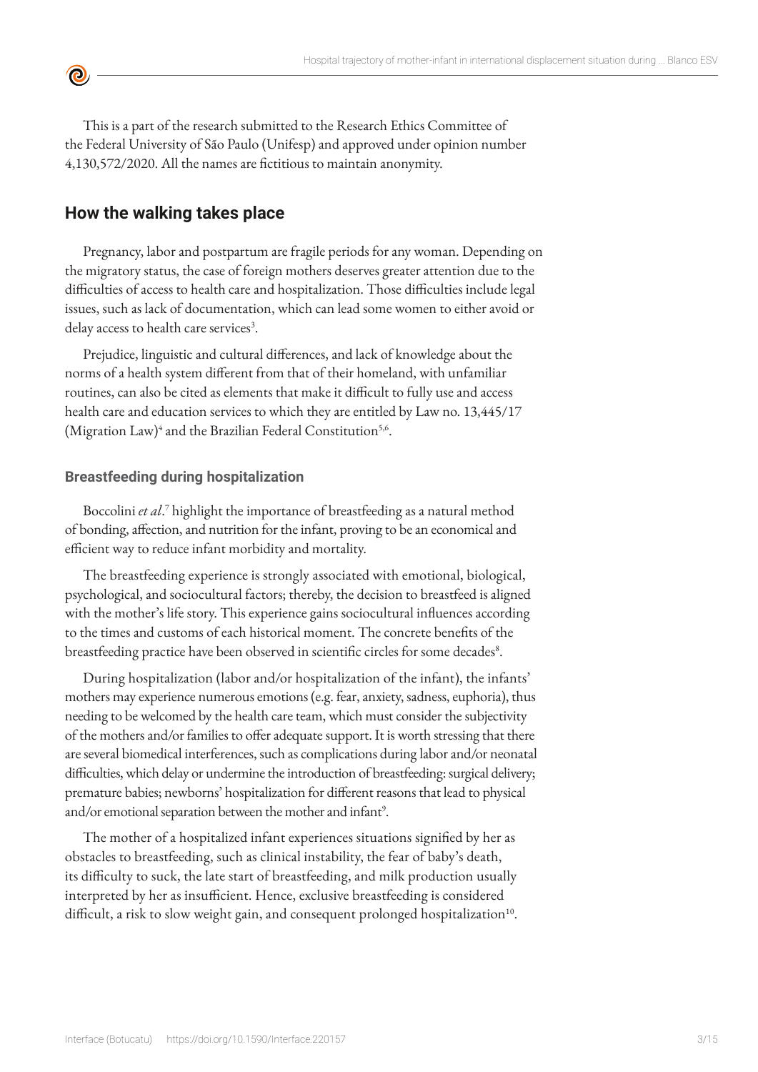This is a part of the research submitted to the Research Ethics Committee of the Federal University of São Paulo (Unifesp) and approved under opinion number 4,130,572/2020. All the names are fictitious to maintain anonymity.

## **How the walking takes place**

<u>ල</u>

Pregnancy, labor and postpartum are fragile periods for any woman. Depending on the migratory status, the case of foreign mothers deserves greater attention due to the difficulties of access to health care and hospitalization. Those difficulties include legal issues, such as lack of documentation, which can lead some women to either avoid or delay access to health care services<sup>3</sup>.

Prejudice, linguistic and cultural differences, and lack of knowledge about the norms of a health system different from that of their homeland, with unfamiliar routines, can also be cited as elements that make it difficult to fully use and access health care and education services to which they are entitled by Law no. 13,445/17 (Migration Law)<sup>4</sup> and the Brazilian Federal Constitution<sup>5,6</sup>.

#### **Breastfeeding during hospitalization**

Boccolini *et al*. 7 highlight the importance of breastfeeding as a natural method of bonding, affection, and nutrition for the infant, proving to be an economical and efficient way to reduce infant morbidity and mortality.

The breastfeeding experience is strongly associated with emotional, biological, psychological, and sociocultural factors; thereby, the decision to breastfeed is aligned with the mother's life story. This experience gains sociocultural influences according to the times and customs of each historical moment. The concrete benefits of the breastfeeding practice have been observed in scientific circles for some decades<sup>8</sup>.

During hospitalization (labor and/or hospitalization of the infant), the infants' mothers may experience numerous emotions (e.g. fear, anxiety, sadness, euphoria), thus needing to be welcomed by the health care team, which must consider the subjectivity of the mothers and/or families to offer adequate support. It is worth stressing that there are several biomedical interferences, such as complications during labor and/or neonatal difficulties, which delay or undermine the introduction of breastfeeding: surgical delivery; premature babies; newborns' hospitalization for different reasons that lead to physical and/or emotional separation between the mother and infant<sup>9</sup>.

The mother of a hospitalized infant experiences situations signified by her as obstacles to breastfeeding, such as clinical instability, the fear of baby's death, its difficulty to suck, the late start of breastfeeding, and milk production usually interpreted by her as insufficient. Hence, exclusive breastfeeding is considered difficult, a risk to slow weight gain, and consequent prolonged hospitalization<sup>10</sup>.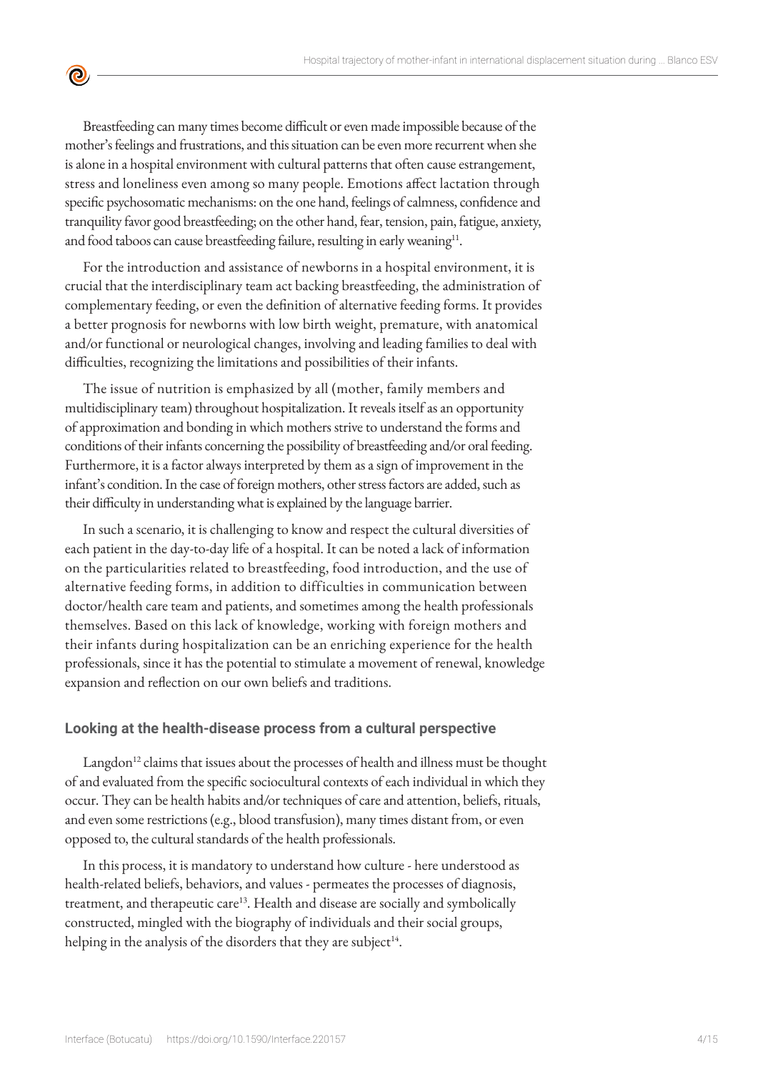Breastfeeding can many times become difficult or even made impossible because of the mother's feelings and frustrations, and this situation can be even more recurrent when she is alone in a hospital environment with cultural patterns that often cause estrangement, stress and loneliness even among so many people. Emotions affect lactation through specific psychosomatic mechanisms: on the one hand, feelings of calmness, confidence and tranquility favor good breastfeeding; on the other hand, fear, tension, pain, fatigue, anxiety, and food taboos can cause breastfeeding failure, resulting in early weaning<sup>11</sup>.

<u>ල</u>

For the introduction and assistance of newborns in a hospital environment, it is crucial that the interdisciplinary team act backing breastfeeding, the administration of complementary feeding, or even the definition of alternative feeding forms. It provides a better prognosis for newborns with low birth weight, premature, with anatomical and/or functional or neurological changes, involving and leading families to deal with difficulties, recognizing the limitations and possibilities of their infants.

The issue of nutrition is emphasized by all (mother, family members and multidisciplinary team) throughout hospitalization. It reveals itself as an opportunity of approximation and bonding in which mothers strive to understand the forms and conditions of their infants concerning the possibility of breastfeeding and/or oral feeding. Furthermore, it is a factor always interpreted by them as a sign of improvement in the infant's condition. In the case of foreign mothers, other stress factors are added, such as their difficulty in understanding what is explained by the language barrier.

In such a scenario, it is challenging to know and respect the cultural diversities of each patient in the day-to-day life of a hospital. It can be noted a lack of information on the particularities related to breastfeeding, food introduction, and the use of alternative feeding forms, in addition to difficulties in communication between doctor/health care team and patients, and sometimes among the health professionals themselves. Based on this lack of knowledge, working with foreign mothers and their infants during hospitalization can be an enriching experience for the health professionals, since it has the potential to stimulate a movement of renewal, knowledge expansion and reflection on our own beliefs and traditions.

#### **Looking at the health-disease process from a cultural perspective**

 $L$ angdon<sup>12</sup> claims that issues about the processes of health and illness must be thought of and evaluated from the specific sociocultural contexts of each individual in which they occur. They can be health habits and/or techniques of care and attention, beliefs, rituals, and even some restrictions (e.g., blood transfusion), many times distant from, or even opposed to, the cultural standards of the health professionals.

In this process, it is mandatory to understand how culture - here understood as health-related beliefs, behaviors, and values - permeates the processes of diagnosis, treatment, and therapeutic care<sup>13</sup>. Health and disease are socially and symbolically constructed, mingled with the biography of individuals and their social groups, helping in the analysis of the disorders that they are subject<sup>14</sup>.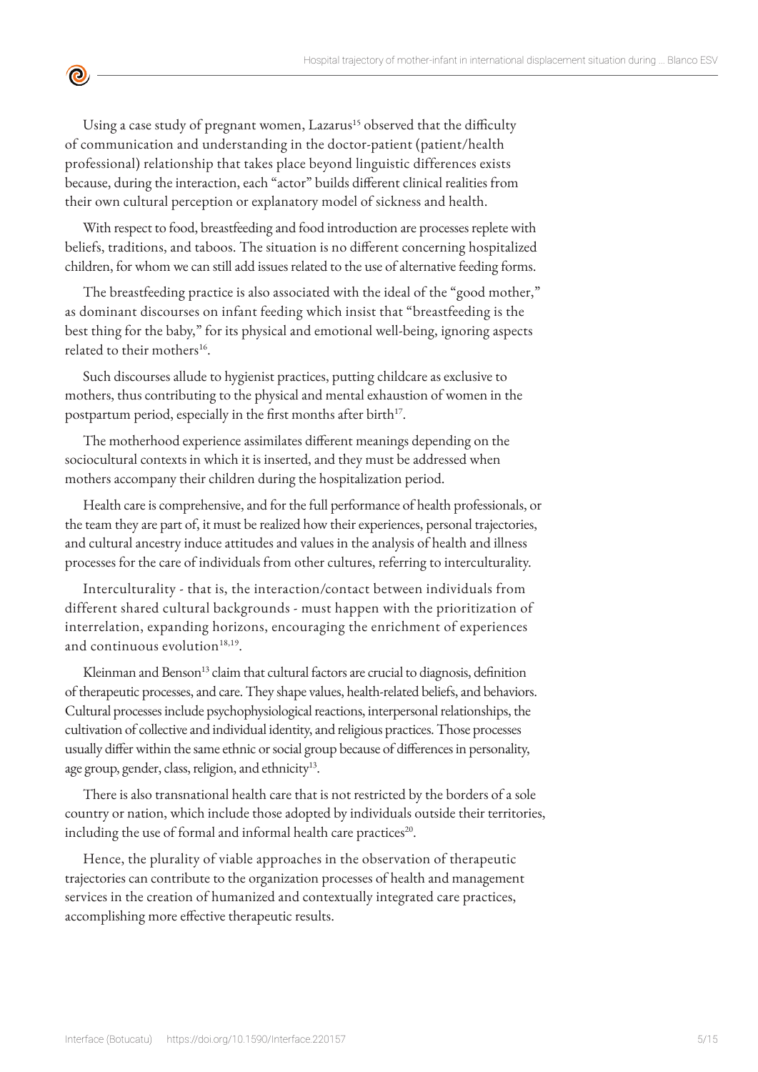Using a case study of pregnant women, Lazarus<sup>15</sup> observed that the difficulty of communication and understanding in the doctor-patient (patient/health professional) relationship that takes place beyond linguistic differences exists because, during the interaction, each "actor" builds different clinical realities from their own cultural perception or explanatory model of sickness and health.

<u>ල</u>

With respect to food, breastfeeding and food introduction are processes replete with beliefs, traditions, and taboos. The situation is no different concerning hospitalized children, for whom we can still add issues related to the use of alternative feeding forms.

The breastfeeding practice is also associated with the ideal of the "good mother," as dominant discourses on infant feeding which insist that "breastfeeding is the best thing for the baby," for its physical and emotional well-being, ignoring aspects related to their mothers<sup>16</sup>.

Such discourses allude to hygienist practices, putting childcare as exclusive to mothers, thus contributing to the physical and mental exhaustion of women in the postpartum period, especially in the first months after birth<sup>17</sup>.

The motherhood experience assimilates different meanings depending on the sociocultural contexts in which it is inserted, and they must be addressed when mothers accompany their children during the hospitalization period.

Health care is comprehensive, and for the full performance of health professionals, or the team they are part of, it must be realized how their experiences, personal trajectories, and cultural ancestry induce attitudes and values in the analysis of health and illness processes for the care of individuals from other cultures, referring to interculturality.

Interculturality - that is, the interaction/contact between individuals from different shared cultural backgrounds - must happen with the prioritization of interrelation, expanding horizons, encouraging the enrichment of experiences and continuous evolution $18,19$ .

Kleinman and Benson<sup>13</sup> claim that cultural factors are crucial to diagnosis, definition of therapeutic processes, and care. They shape values, health-related beliefs, and behaviors. Cultural processes include psychophysiological reactions, interpersonal relationships, the cultivation of collective and individual identity, and religious practices. Those processes usually differ within the same ethnic or social group because of differences in personality, age group, gender, class, religion, and ethnicity<sup>13</sup>.

There is also transnational health care that is not restricted by the borders of a sole country or nation, which include those adopted by individuals outside their territories, including the use of formal and informal health care practices<sup>20</sup>.

Hence, the plurality of viable approaches in the observation of therapeutic trajectories can contribute to the organization processes of health and management services in the creation of humanized and contextually integrated care practices, accomplishing more effective therapeutic results.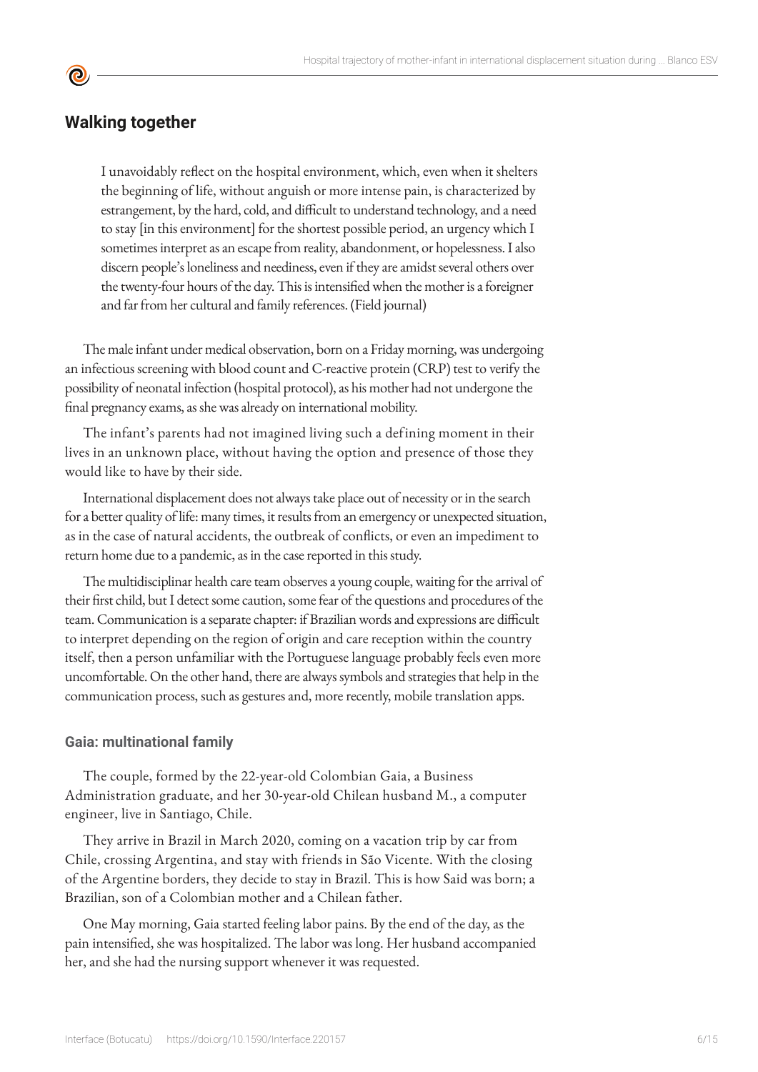## **Walking together**

**©** 

I unavoidably reflect on the hospital environment, which, even when it shelters the beginning of life, without anguish or more intense pain, is characterized by estrangement, by the hard, cold, and difficult to understand technology, and a need to stay [in this environment] for the shortest possible period, an urgency which I sometimes interpret as an escape from reality, abandonment, or hopelessness. I also discern people's loneliness and neediness, even if they are amidst several others over the twenty-four hours of the day. This is intensified when the mother is a foreigner and far from her cultural and family references. (Field journal)

The male infant under medical observation, born on a Friday morning, was undergoing an infectious screening with blood count and C-reactive protein (CRP) test to verify the possibility of neonatal infection (hospital protocol), as his mother had not undergone the final pregnancy exams, as she was already on international mobility.

The infant's parents had not imagined living such a defining moment in their lives in an unknown place, without having the option and presence of those they would like to have by their side.

International displacement does not always take place out of necessity or in the search for a better quality of life: many times, it results from an emergency or unexpected situation, as in the case of natural accidents, the outbreak of conflicts, or even an impediment to return home due to a pandemic, as in the case reported in this study.

The multidisciplinar health care team observes a young couple, waiting for the arrival of their first child, but I detect some caution, some fear of the questions and procedures of the team. Communication is a separate chapter: if Brazilian words and expressions are difficult to interpret depending on the region of origin and care reception within the country itself, then a person unfamiliar with the Portuguese language probably feels even more uncomfortable. On the other hand, there are always symbols and strategies that help in the communication process, such as gestures and, more recently, mobile translation apps.

#### **Gaia: multinational family**

The couple, formed by the 22-year-old Colombian Gaia, a Business Administration graduate, and her 30-year-old Chilean husband M., a computer engineer, live in Santiago, Chile.

They arrive in Brazil in March 2020, coming on a vacation trip by car from Chile, crossing Argentina, and stay with friends in São Vicente. With the closing of the Argentine borders, they decide to stay in Brazil. This is how Said was born; a Brazilian, son of a Colombian mother and a Chilean father.

One May morning, Gaia started feeling labor pains. By the end of the day, as the pain intensified, she was hospitalized. The labor was long. Her husband accompanied her, and she had the nursing support whenever it was requested.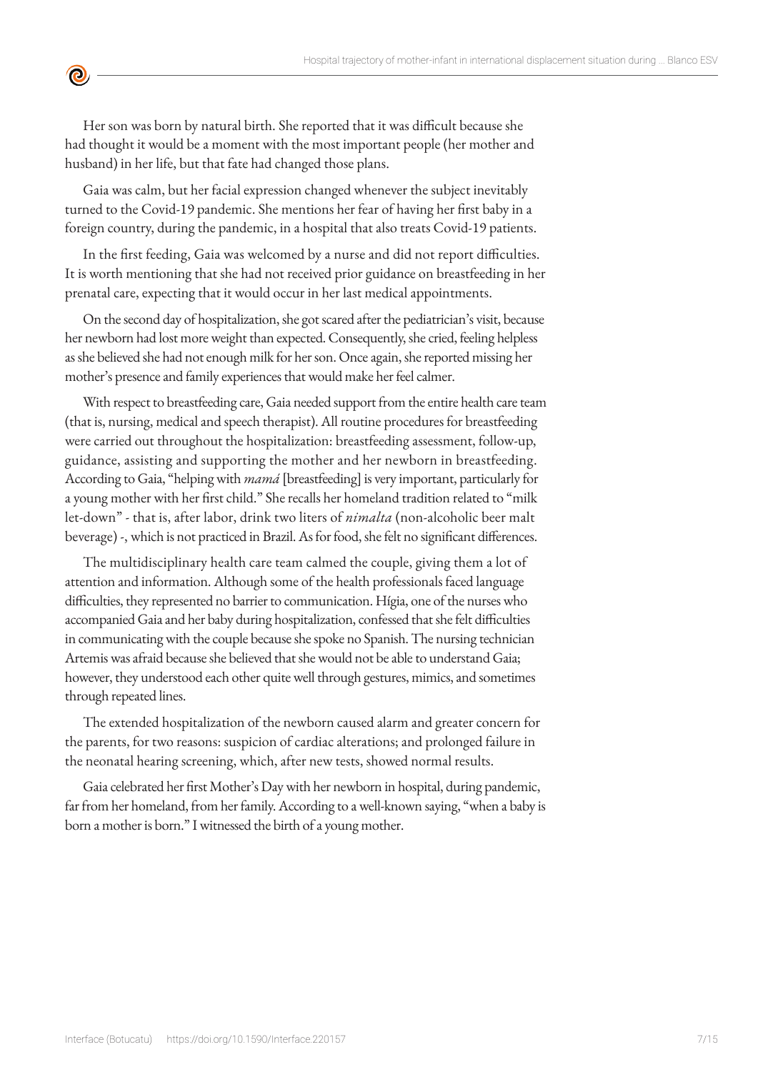Her son was born by natural birth. She reported that it was difficult because she had thought it would be a moment with the most important people (her mother and husband) in her life, but that fate had changed those plans.

 $\bullet$ 

Gaia was calm, but her facial expression changed whenever the subject inevitably turned to the Covid-19 pandemic. She mentions her fear of having her first baby in a foreign country, during the pandemic, in a hospital that also treats Covid-19 patients.

In the first feeding, Gaia was welcomed by a nurse and did not report difficulties. It is worth mentioning that she had not received prior guidance on breastfeeding in her prenatal care, expecting that it would occur in her last medical appointments.

On the second day of hospitalization, she got scared after the pediatrician's visit, because her newborn had lost more weight than expected. Consequently, she cried, feeling helpless as she believed she had not enough milk for her son. Once again, she reported missing her mother's presence and family experiences that would make her feel calmer.

With respect to breastfeeding care, Gaia needed support from the entire health care team (that is, nursing, medical and speech therapist). All routine procedures for breastfeeding were carried out throughout the hospitalization: breastfeeding assessment, follow-up, guidance, assisting and supporting the mother and her newborn in breastfeeding. According to Gaia, "helping with *mamá* [breastfeeding] is very important, particularly for a young mother with her first child." She recalls her homeland tradition related to "milk let-down" - that is, after labor, drink two liters of *nimalta* (non-alcoholic beer malt beverage) -, which is not practiced in Brazil. As for food, she felt no significant differences.

The multidisciplinary health care team calmed the couple, giving them a lot of attention and information. Although some of the health professionals faced language difficulties, they represented no barrier to communication. Hígia, one of the nurses who accompanied Gaia and her baby during hospitalization, confessed that she felt difficulties in communicating with the couple because she spoke no Spanish. The nursing technician Artemis was afraid because she believed that she would not be able to understand Gaia; however, they understood each other quite well through gestures, mimics, and sometimes through repeated lines.

The extended hospitalization of the newborn caused alarm and greater concern for the parents, for two reasons: suspicion of cardiac alterations; and prolonged failure in the neonatal hearing screening, which, after new tests, showed normal results.

Gaia celebrated her first Mother's Day with her newborn in hospital, during pandemic, far from her homeland, from her family. According to a well-known saying, "when a baby is born a mother is born." I witnessed the birth of a young mother.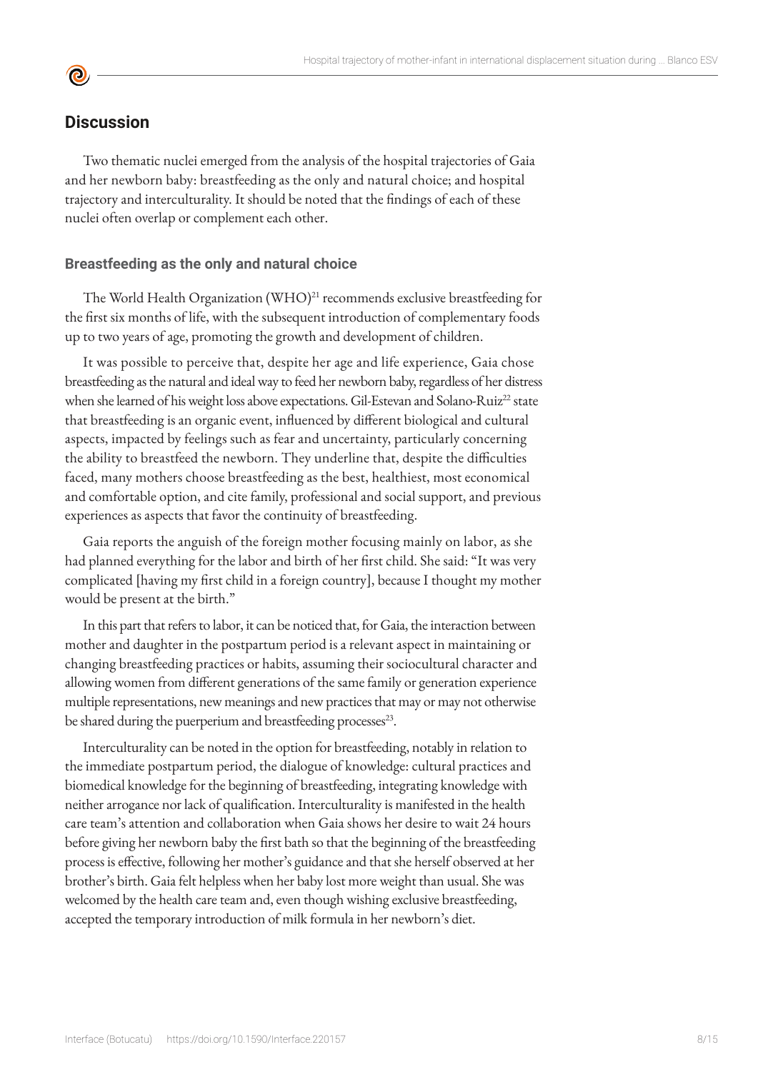## **Discussion**

**©** 

Two thematic nuclei emerged from the analysis of the hospital trajectories of Gaia and her newborn baby: breastfeeding as the only and natural choice; and hospital trajectory and interculturality. It should be noted that the findings of each of these nuclei often overlap or complement each other.

#### **Breastfeeding as the only and natural choice**

The World Health Organization (WHO)<sup>21</sup> recommends exclusive breastfeeding for the first six months of life, with the subsequent introduction of complementary foods up to two years of age, promoting the growth and development of children.

It was possible to perceive that, despite her age and life experience, Gaia chose breastfeeding as the natural and ideal way to feed her newborn baby, regardless of her distress when she learned of his weight loss above expectations. Gil-Estevan and Solano-Ruiz<sup>22</sup> state that breastfeeding is an organic event, influenced by different biological and cultural aspects, impacted by feelings such as fear and uncertainty, particularly concerning the ability to breastfeed the newborn. They underline that, despite the difficulties faced, many mothers choose breastfeeding as the best, healthiest, most economical and comfortable option, and cite family, professional and social support, and previous experiences as aspects that favor the continuity of breastfeeding.

Gaia reports the anguish of the foreign mother focusing mainly on labor, as she had planned everything for the labor and birth of her first child. She said: "It was very complicated [having my first child in a foreign country], because I thought my mother would be present at the birth."

In this part that refers to labor, it can be noticed that, for Gaia, the interaction between mother and daughter in the postpartum period is a relevant aspect in maintaining or changing breastfeeding practices or habits, assuming their sociocultural character and allowing women from different generations of the same family or generation experience multiple representations, new meanings and new practices that may or may not otherwise be shared during the puerperium and breastfeeding processes<sup>23</sup>.

Interculturality can be noted in the option for breastfeeding, notably in relation to the immediate postpartum period, the dialogue of knowledge: cultural practices and biomedical knowledge for the beginning of breastfeeding, integrating knowledge with neither arrogance nor lack of qualification. Interculturality is manifested in the health care team's attention and collaboration when Gaia shows her desire to wait 24 hours before giving her newborn baby the first bath so that the beginning of the breastfeeding process is effective, following her mother's guidance and that she herself observed at her brother's birth. Gaia felt helpless when her baby lost more weight than usual. She was welcomed by the health care team and, even though wishing exclusive breastfeeding, accepted the temporary introduction of milk formula in her newborn's diet.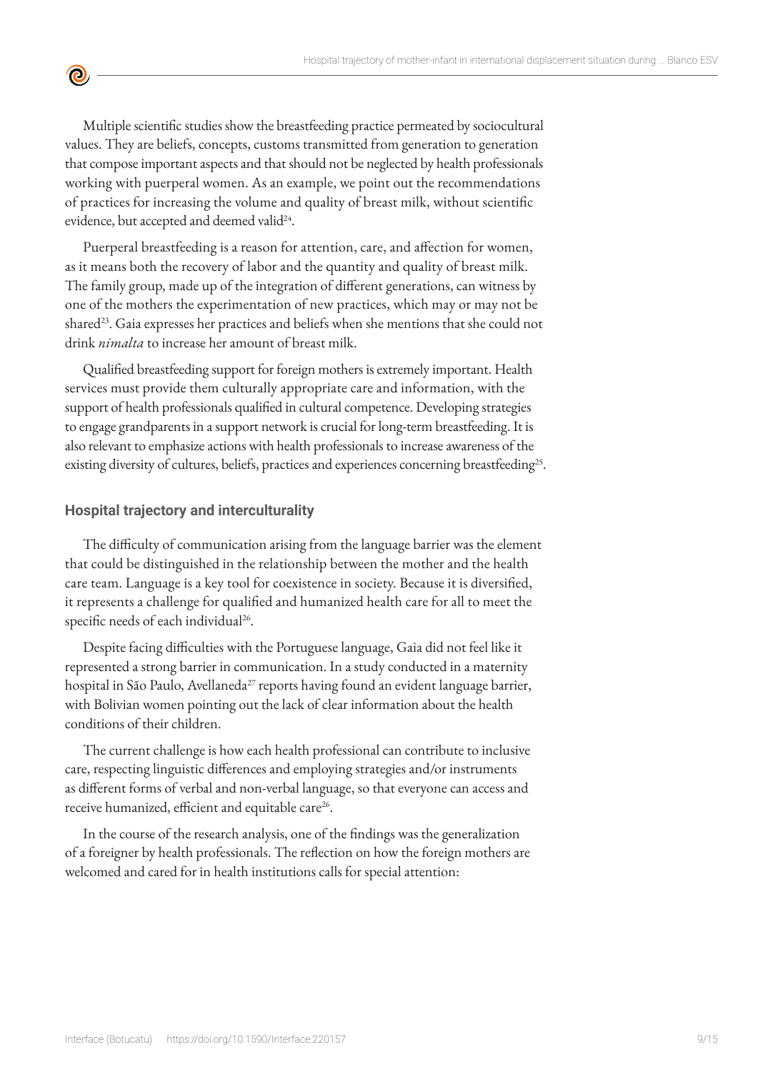

Multiple scientific studies show the breastfeeding practice permeated by sociocultural values. They are beliefs, concepts, customs transmitted from generation to generation that compose important aspects and that should not be neglected by health professionals working with puerperal women. As an example, we point out the recommendations of practices for increasing the volume and quality of breast milk, without scientific evidence, but accepted and deemed valid<sup>24</sup>.

Puerperal breastfeeding is a reason for attention, care, and affection for women, as it means both the recovery of labor and the quantity and quality of breast milk. The family group, made up of the integration of different generations, can witness by one of the mothers the experimentation of new practices, which may or may not be shared<sup>23</sup>. Gaia expresses her practices and beliefs when she mentions that she could not drink *nimalta* to increase her amount of breast milk.

Qualified breastfeeding support for foreign mothers is extremely important. Health services must provide them culturally appropriate care and information, with the support of health professionals qualified in cultural competence. Developing strategies to engage grandparents in a support network is crucial for long-term breastfeeding. It is also relevant to emphasize actions with health professionals to increase awareness of the existing diversity of cultures, beliefs, practices and experiences concerning breastfeeding<sup>25</sup>.

#### **Hospital trajectory and interculturality**

The difficulty of communication arising from the language barrier was the element that could be distinguished in the relationship between the mother and the health care team. Language is a key tool for coexistence in society. Because it is diversified, it represents a challenge for qualified and humanized health care for all to meet the specific needs of each individual<sup>26</sup>.

Despite facing difficulties with the Portuguese language, Gaia did not feel like it represented a strong barrier in communication. In a study conducted in a maternity hospital in São Paulo, Avellaneda<sup>27</sup> reports having found an evident language barrier, with Bolivian women pointing out the lack of clear information about the health conditions of their children.

The current challenge is how each health professional can contribute to inclusive care, respecting linguistic differences and employing strategies and/or instruments as different forms of verbal and non-verbal language, so that everyone can access and receive humanized, efficient and equitable care<sup>26</sup>.

In the course of the research analysis, one of the findings was the generalization of a foreigner by health professionals. The reflection on how the foreign mothers are welcomed and cared for in health institutions calls for special attention: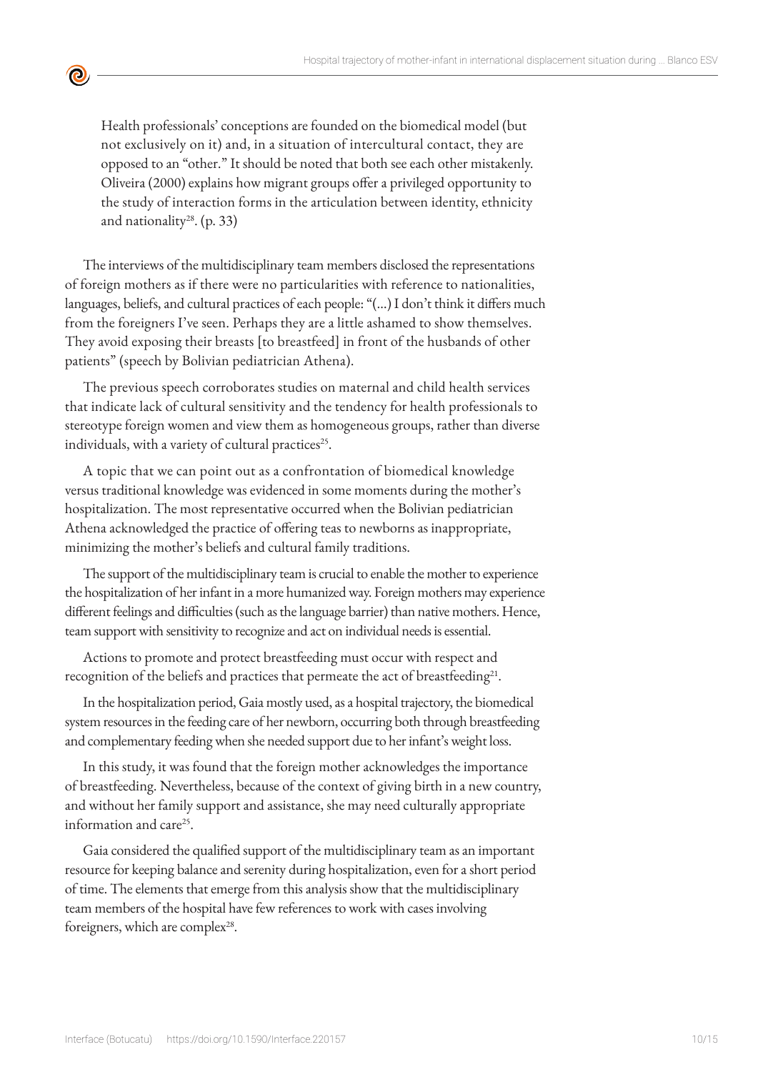$\bullet$ 

Health professionals' conceptions are founded on the biomedical model (but not exclusively on it) and, in a situation of intercultural contact, they are opposed to an "other." It should be noted that both see each other mistakenly. Oliveira (2000) explains how migrant groups offer a privileged opportunity to the study of interaction forms in the articulation between identity, ethnicity and nationality<sup>28</sup>. (p. 33)

The interviews of the multidisciplinary team members disclosed the representations of foreign mothers as if there were no particularities with reference to nationalities, languages, beliefs, and cultural practices of each people: "(…) I don't think it differs much from the foreigners I've seen. Perhaps they are a little ashamed to show themselves. They avoid exposing their breasts [to breastfeed] in front of the husbands of other patients" (speech by Bolivian pediatrician Athena).

The previous speech corroborates studies on maternal and child health services that indicate lack of cultural sensitivity and the tendency for health professionals to stereotype foreign women and view them as homogeneous groups, rather than diverse individuals, with a variety of cultural practices<sup>25</sup>.

A topic that we can point out as a confrontation of biomedical knowledge versus traditional knowledge was evidenced in some moments during the mother's hospitalization. The most representative occurred when the Bolivian pediatrician Athena acknowledged the practice of offering teas to newborns as inappropriate, minimizing the mother's beliefs and cultural family traditions.

The support of the multidisciplinary team is crucial to enable the mother to experience the hospitalization of her infant in a more humanized way. Foreign mothers may experience different feelings and difficulties (such as the language barrier) than native mothers. Hence, team support with sensitivity to recognize and act on individual needs is essential.

Actions to promote and protect breastfeeding must occur with respect and recognition of the beliefs and practices that permeate the act of breastfeeding<sup>21</sup>.

In the hospitalization period, Gaia mostly used, as a hospital trajectory, the biomedical system resources in the feeding care of her newborn, occurring both through breastfeeding and complementary feeding when she needed support due to her infant's weight loss.

In this study, it was found that the foreign mother acknowledges the importance of breastfeeding. Nevertheless, because of the context of giving birth in a new country, and without her family support and assistance, she may need culturally appropriate information and care<sup>25</sup>.

Gaia considered the qualified support of the multidisciplinary team as an important resource for keeping balance and serenity during hospitalization, even for a short period of time. The elements that emerge from this analysis show that the multidisciplinary team members of the hospital have few references to work with cases involving foreigners, which are complex<sup>28</sup>.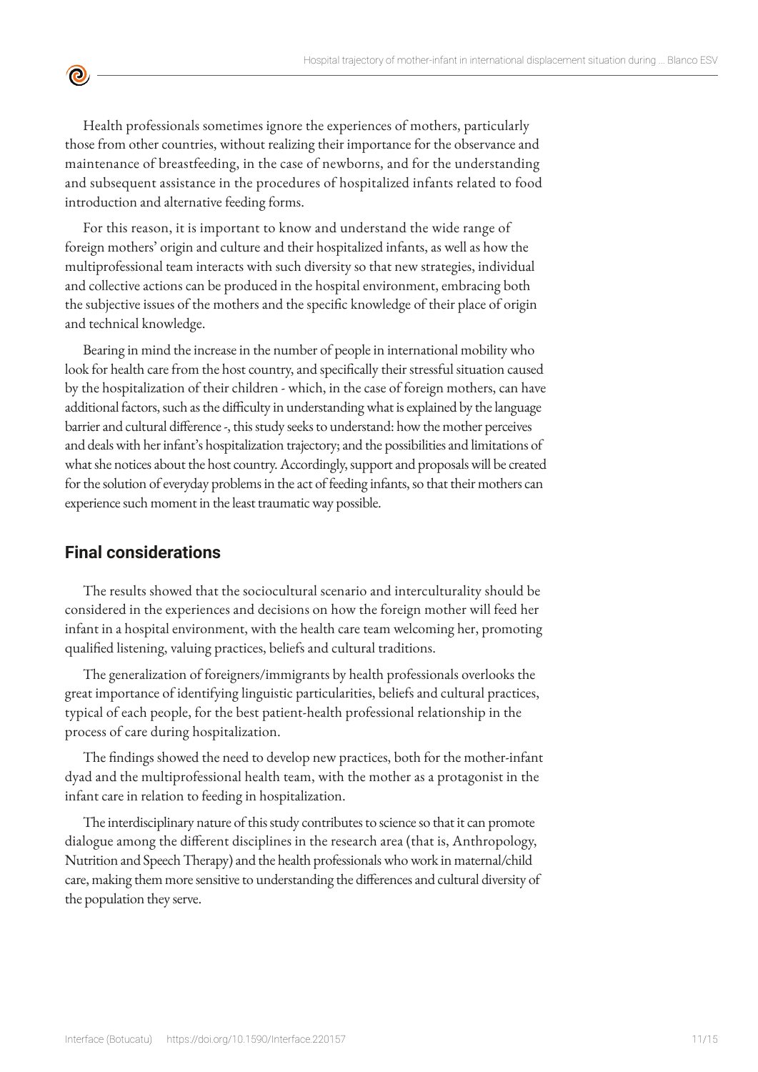Health professionals sometimes ignore the experiences of mothers, particularly those from other countries, without realizing their importance for the observance and maintenance of breastfeeding, in the case of newborns, and for the understanding and subsequent assistance in the procedures of hospitalized infants related to food introduction and alternative feeding forms.

For this reason, it is important to know and understand the wide range of foreign mothers' origin and culture and their hospitalized infants, as well as how the multiprofessional team interacts with such diversity so that new strategies, individual and collective actions can be produced in the hospital environment, embracing both the subjective issues of the mothers and the specific knowledge of their place of origin and technical knowledge.

Bearing in mind the increase in the number of people in international mobility who look for health care from the host country, and specifically their stressful situation caused by the hospitalization of their children - which, in the case of foreign mothers, can have additional factors, such as the difficulty in understanding what is explained by the language barrier and cultural difference -, this study seeks to understand: how the mother perceives and deals with her infant's hospitalization trajectory; and the possibilities and limitations of what she notices about the host country. Accordingly, support and proposals will be created for the solution of everyday problems in the act of feeding infants, so that their mothers can experience such moment in the least traumatic way possible.

## **Final considerations**

 $\bullet$ 

The results showed that the sociocultural scenario and interculturality should be considered in the experiences and decisions on how the foreign mother will feed her infant in a hospital environment, with the health care team welcoming her, promoting qualified listening, valuing practices, beliefs and cultural traditions.

The generalization of foreigners/immigrants by health professionals overlooks the great importance of identifying linguistic particularities, beliefs and cultural practices, typical of each people, for the best patient-health professional relationship in the process of care during hospitalization.

The findings showed the need to develop new practices, both for the mother-infant dyad and the multiprofessional health team, with the mother as a protagonist in the infant care in relation to feeding in hospitalization.

The interdisciplinary nature of this study contributes to science so that it can promote dialogue among the different disciplines in the research area (that is, Anthropology, Nutrition and Speech Therapy) and the health professionals who work in maternal/child care, making them more sensitive to understanding the differences and cultural diversity of the population they serve.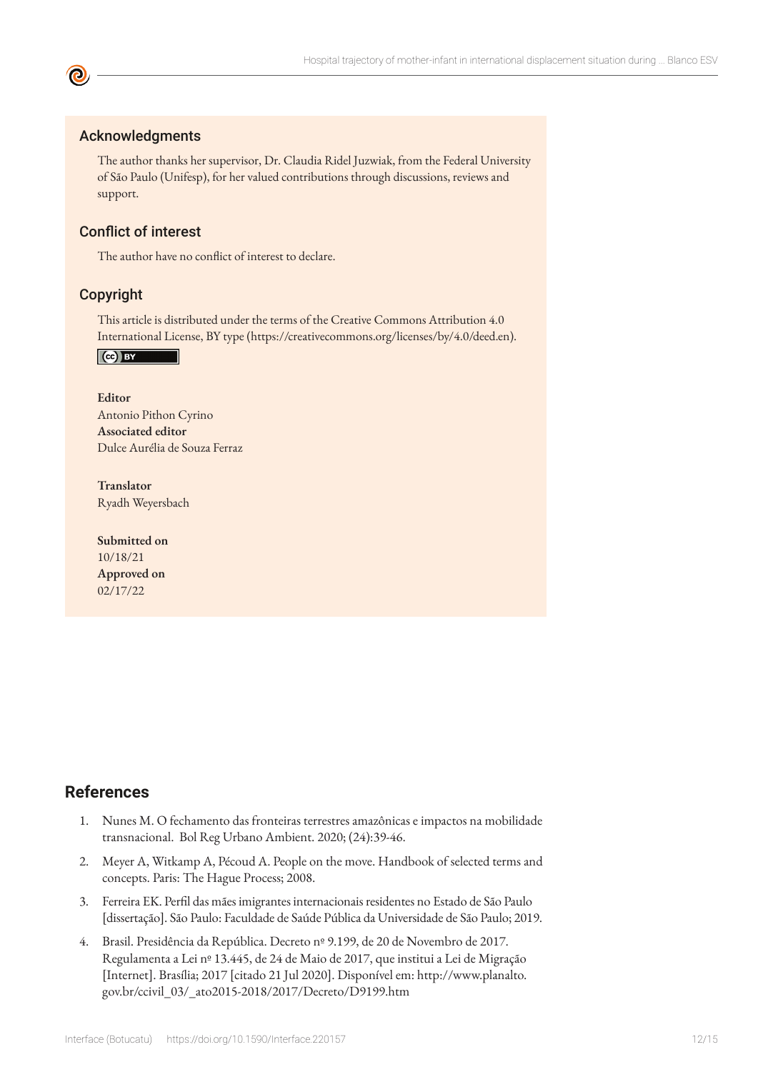#### Acknowledgments

The author thanks her supervisor, Dr. Claudia Ridel Juzwiak, from the Federal University of São Paulo (Unifesp), for her valued contributions through discussions, reviews and support.

### Conflict of interest

The author have no conflict of interest to declare.

#### Copyright

This article is distributed under the terms of the Creative Commons Attribution 4.0 International License, BY type (https://creativecommons.org/licenses/by/4.0/deed.en).

 $\left($ ce) BY

**Editor** Antonio Pithon Cyrino **Associated editor** Dulce Aurélia de Souza Ferraz

**Translator** Ryadh Weyersbach

**Submitted on** 10/18/21 **Approved on** 02/17/22

## **References**

- 1. Nunes M. O fechamento das fronteiras terrestres amazônicas e impactos na mobilidade transnacional. Bol Reg Urbano Ambient. 2020; (24):39-46.
- 2. Meyer A, Witkamp A, Pécoud A. People on the move. Handbook of selected terms and concepts. Paris: The Hague Process; 2008.
- 3. Ferreira EK. Perfil das mães imigrantes internacionais residentes no Estado de São Paulo [dissertação]. São Paulo: Faculdade de Saúde Pública da Universidade de São Paulo; 2019.
- 4. Brasil. Presidência da República. Decreto nº 9.199, de 20 de Novembro de 2017. Regulamenta a Lei nº 13.445, de 24 de Maio de 2017, que institui a Lei de Migração [Internet]. Brasília; 2017 [citado 21 Jul 2020]. Disponível em: http://www.planalto. gov.br/ccivil\_03/\_ato2015-2018/2017/Decreto/D9199.htm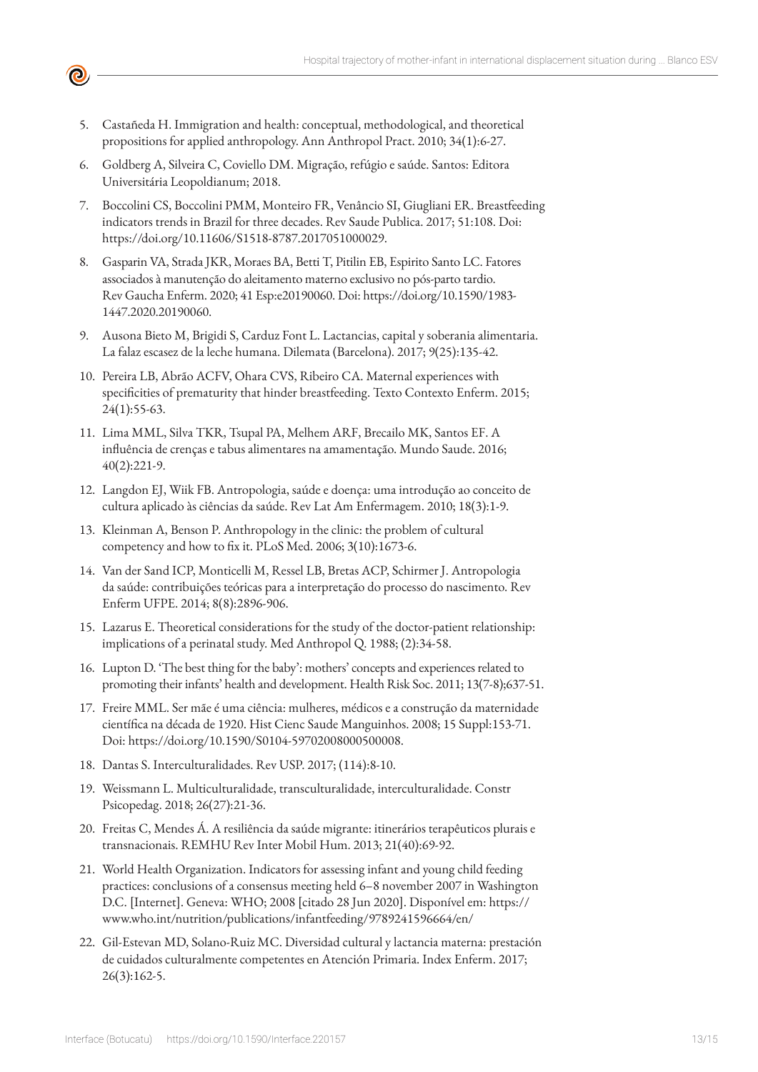5. Castañeda H. Immigration and health: conceptual, methodological, and theoretical propositions for applied anthropology. Ann Anthropol Pract. 2010; 34(1):6-27.

 $\boldsymbol{\Theta}$ 

- 6. Goldberg A, Silveira C, Coviello DM. Migração, refúgio e saúde. Santos: Editora Universitária Leopoldianum; 2018.
- 7. Boccolini CS, Boccolini PMM, Monteiro FR, Venâncio SI, Giugliani ER. Breastfeeding indicators trends in Brazil for three decades. Rev Saude Publica. 2017; 51:108. Doi: https://doi.org/10.11606/S1518-8787.2017051000029.
- 8. Gasparin VA, Strada JKR, Moraes BA, Betti T, Pitilin EB, Espirito Santo LC. Fatores associados à manutenção do aleitamento materno exclusivo no pós-parto tardio. Rev Gaucha Enferm. 2020; 41 Esp:e20190060. Doi: https://doi.org/10.1590/1983- 1447.2020.20190060.
- 9. Ausona Bieto M, Brigidi S, Carduz Font L. Lactancias, capital y soberania alimentaria. La falaz escasez de la leche humana. Dilemata (Barcelona). 2017; 9(25):135-42.
- 10. Pereira LB, Abrão ACFV, Ohara CVS, Ribeiro CA. Maternal experiences with specificities of prematurity that hinder breastfeeding. Texto Contexto Enferm. 2015; 24(1):55-63.
- 11. Lima MML, Silva TKR, Tsupal PA, Melhem ARF, Brecailo MK, Santos EF. A influência de crenças e tabus alimentares na amamentação. Mundo Saude. 2016; 40(2):221-9.
- 12. Langdon EJ, Wiik FB. Antropologia, saúde e doença: uma introdução ao conceito de cultura aplicado às ciências da saúde. Rev Lat Am Enfermagem. 2010; 18(3):1-9.
- 13. Kleinman A, Benson P. Anthropology in the clinic: the problem of cultural competency and how to fix it. PLoS Med. 2006; 3(10):1673-6.
- 14. Van der Sand ICP, Monticelli M, Ressel LB, Bretas ACP, Schirmer J. Antropologia da saúde: contribuições teóricas para a interpretação do processo do nascimento. Rev Enferm UFPE. 2014; 8(8):2896-906.
- 15. Lazarus E. Theoretical considerations for the study of the doctor-patient relationship: implications of a perinatal study. Med Anthropol Q. 1988; (2):34-58.
- 16. Lupton D. 'The best thing for the baby': mothers' concepts and experiences related to promoting their infants' health and development. Health Risk Soc. 2011; 13(7-8);637-51.
- 17. Freire MML. Ser mãe é uma ciência: mulheres, médicos e a construção da maternidade científica na década de 1920. Hist Cienc Saude Manguinhos. 2008; 15 Suppl:153-71. Doi: https://doi.org/10.1590/S0104-59702008000500008.
- 18. Dantas S. Interculturalidades. Rev USP. 2017; (114):8-10.
- 19. Weissmann L. Multiculturalidade, transculturalidade, interculturalidade. Constr Psicopedag. 2018; 26(27):21-36.
- 20. Freitas C, Mendes Á. A resiliência da saúde migrante: itinerários terapêuticos plurais e transnacionais. REMHU Rev Inter Mobil Hum. 2013; 21(40):69-92.
- 21. World Health Organization. Indicators for assessing infant and young child feeding practices: conclusions of a consensus meeting held 6–8 november 2007 in Washington D.C. [Internet]. Geneva: WHO; 2008 [citado 28 Jun 2020]. Disponível em: https:// www.who.int/nutrition/publications/infantfeeding/9789241596664/en/
- 22. Gil-Estevan MD, Solano-Ruiz MC. Diversidad cultural y lactancia materna: prestación de cuidados culturalmente competentes en Atención Primaria. Index Enferm. 2017; 26(3):162-5.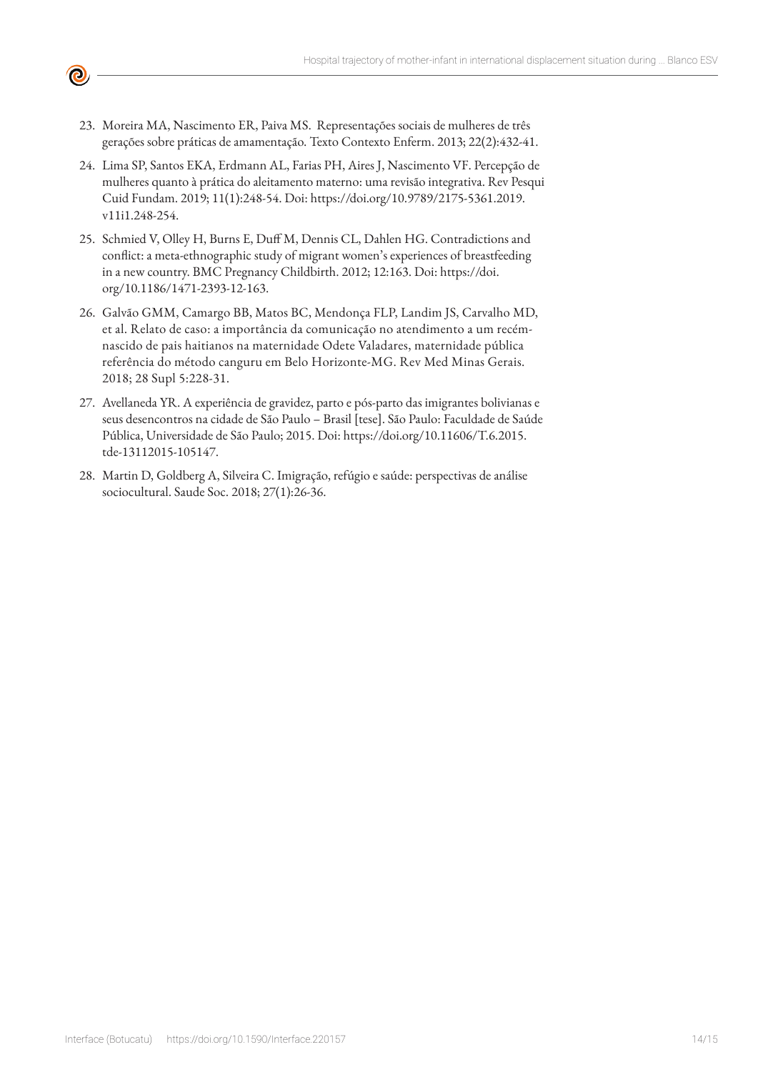

- 23. Moreira MA, Nascimento ER, Paiva MS. Representações sociais de mulheres de três gerações sobre práticas de amamentação. Texto Contexto Enferm. 2013; 22(2):432-41.
- 24. Lima SP, Santos EKA, Erdmann AL, Farias PH, Aires J, Nascimento VF. Percepção de mulheres quanto à prática do aleitamento materno: uma revisão integrativa. [Rev Pesqui](http://portal.revistas.bvs.br/transf.php?xsl=xsl/titles.xsl&xml=http://catserver.bireme.br/cgi-bin/wxis1660.exe/?IsisScript=../cgi-bin/catrevistas/catrevistas.xis|database_name=TITLES|list_type=title|cat_name=ALL|from=1|count=50&lang=pt&comefrom=home&home=false&task=show_magazines&request_made_adv_search=false&lang=pt&show_adv_search=false&help_file=/help_pt.htm&connector=ET&search_exp=Rev. pesqui. cuid. fundam. (Online))  [Cuid Fundam. 2](http://portal.revistas.bvs.br/transf.php?xsl=xsl/titles.xsl&xml=http://catserver.bireme.br/cgi-bin/wxis1660.exe/?IsisScript=../cgi-bin/catrevistas/catrevistas.xis|database_name=TITLES|list_type=title|cat_name=ALL|from=1|count=50&lang=pt&comefrom=home&home=false&task=show_magazines&request_made_adv_search=false&lang=pt&show_adv_search=false&help_file=/help_pt.htm&connector=ET&search_exp=Rev. pesqui. cuid. fundam. (Online))019; 11(1):248-54. Doi: https://doi.org/10.9789/2175-5361.2019. v11i1.248-254.
- 25. Schmied V, Olley H, Burns E, Duff M, Dennis CL, Dahlen HG. Contradictions and conflict: a meta-ethnographic study of migrant women's experiences of breastfeeding in a new country. BMC Pregnancy Childbirth. 2012; 12:163. Doi: https://doi. org/10.1186/1471-2393-12-163.
- 26. Galvão GMM, Camargo BB, Matos BC, Mendonça FLP, Landim JS, Carvalho MD, et al. Relato de caso: a importância da comunicação no atendimento a um recémnascido de pais haitianos na maternidade Odete Valadares, maternidade pública referência do método canguru em Belo Horizonte-MG. Rev Med Minas Gerais. 2018; 28 Supl 5:228-31.
- 27. Avellaneda YR. A experiência de gravidez, parto e pós-parto das imigrantes bolivianas e seus desencontros na cidade de São Paulo – Brasil [tese]. São Paulo: Faculdade de Saúde Pública, Universidade de São Paulo; 2015. Doi: https://doi.org/10.11606/T.6.2015. tde-13112015-105147.
- 28. Martin D, Goldberg A, Silveira C. Imigração, refúgio e saúde: perspectivas de análise sociocultural. Saude Soc. 2018; 27(1):26-36.